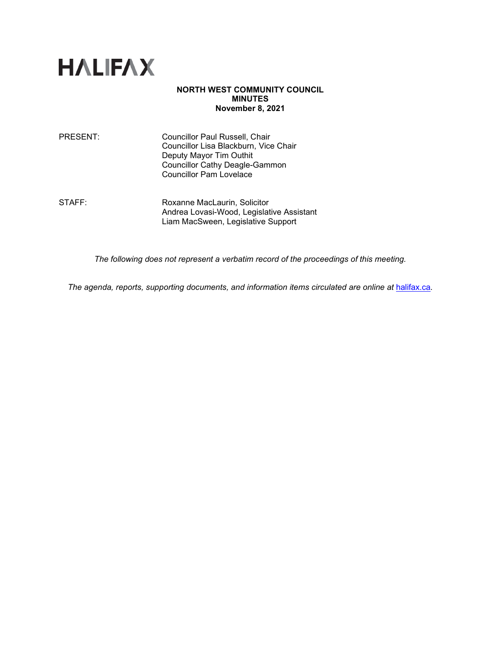

#### **NORTH WEST COMMUNITY COUNCIL MINUTES November 8, 2021**

PRESENT: Councillor Paul Russell, Chair Councillor Lisa Blackburn, Vice Chair Deputy Mayor Tim Outhit Councillor Cathy Deagle-Gammon Councillor Pam Lovelace

STAFF: Roxanne MacLaurin, Solicitor Andrea Lovasi-Wood, Legislative Assistant Liam MacSween, Legislative Support

*The following does not represent a verbatim record of the proceedings of this meeting.*

The agenda, reports, supporting documents, and information items circulated are online at **[halifax.ca](http://www.halifax.ca/).**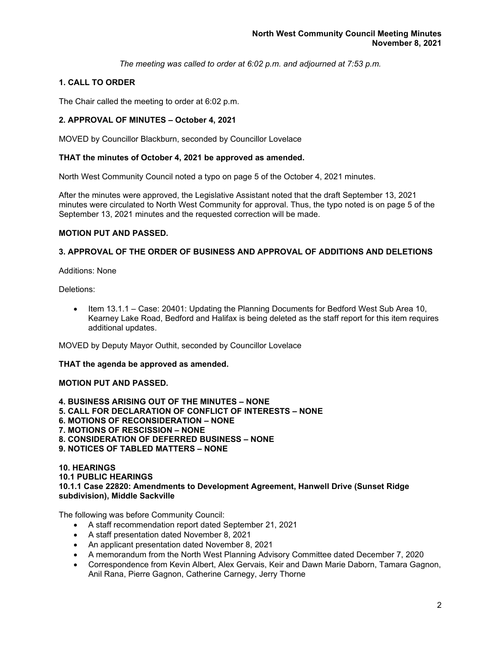*The meeting was called to order at 6:02 p.m. and adjourned at 7:53 p.m.*

# **1. CALL TO ORDER**

The Chair called the meeting to order at 6:02 p.m.

## **2. APPROVAL OF MINUTES – October 4, 2021**

MOVED by Councillor Blackburn, seconded by Councillor Lovelace

### **THAT the minutes of October 4, 2021 be approved as amended.**

North West Community Council noted a typo on page 5 of the October 4, 2021 minutes.

After the minutes were approved, the Legislative Assistant noted that the draft September 13, 2021 minutes were circulated to North West Community for approval. Thus, the typo noted is on page 5 of the September 13, 2021 minutes and the requested correction will be made.

## **MOTION PUT AND PASSED.**

## **3. APPROVAL OF THE ORDER OF BUSINESS AND APPROVAL OF ADDITIONS AND DELETIONS**

Additions: None

Deletions:

• Item 13.1.1 – Case: 20401: Updating the Planning Documents for Bedford West Sub Area 10, Kearney Lake Road, Bedford and Halifax is being deleted as the staff report for this item requires additional updates.

MOVED by Deputy Mayor Outhit, seconded by Councillor Lovelace

**THAT the agenda be approved as amended.** 

## **MOTION PUT AND PASSED.**

**4. BUSINESS ARISING OUT OF THE MINUTES – NONE 5. CALL FOR DECLARATION OF CONFLICT OF INTERESTS – NONE 6. MOTIONS OF RECONSIDERATION – NONE 7. MOTIONS OF RESCISSION – NONE 8. CONSIDERATION OF DEFERRED BUSINESS – NONE 9. NOTICES OF TABLED MATTERS – NONE**

#### **10. HEARINGS 10.1 PUBLIC HEARINGS 10.1.1 Case 22820: Amendments to Development Agreement, Hanwell Drive (Sunset Ridge subdivision), Middle Sackville**

The following was before Community Council:

- A staff recommendation report dated September 21, 2021
- A staff presentation dated November 8, 2021
- An applicant presentation dated November 8, 2021
- A memorandum from the North West Planning Advisory Committee dated December 7, 2020
- Correspondence from Kevin Albert, Alex Gervais, Keir and Dawn Marie Daborn, Tamara Gagnon, Anil Rana, Pierre Gagnon, Catherine Carnegy, Jerry Thorne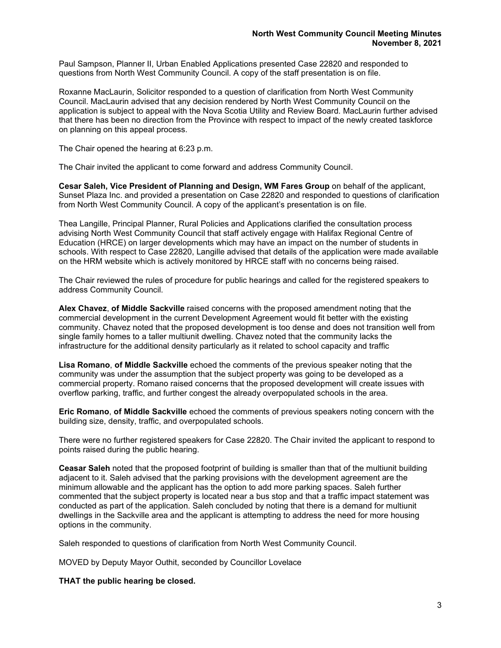Paul Sampson, Planner II, Urban Enabled Applications presented Case 22820 and responded to questions from North West Community Council. A copy of the staff presentation is on file.

Roxanne MacLaurin, Solicitor responded to a question of clarification from North West Community Council. MacLaurin advised that any decision rendered by North West Community Council on the application is subject to appeal with the Nova Scotia Utility and Review Board. MacLaurin further advised that there has been no direction from the Province with respect to impact of the newly created taskforce on planning on this appeal process.

The Chair opened the hearing at 6:23 p.m.

The Chair invited the applicant to come forward and address Community Council.

**Cesar Saleh, Vice President of Planning and Design, WM Fares Group** on behalf of the applicant, Sunset Plaza Inc. and provided a presentation on Case 22820 and responded to questions of clarification from North West Community Council. A copy of the applicant's presentation is on file.

Thea Langille, Principal Planner, Rural Policies and Applications clarified the consultation process advising North West Community Council that staff actively engage with Halifax Regional Centre of Education (HRCE) on larger developments which may have an impact on the number of students in schools. With respect to Case 22820, Langille advised that details of the application were made available on the HRM website which is actively monitored by HRCE staff with no concerns being raised.

The Chair reviewed the rules of procedure for public hearings and called for the registered speakers to address Community Council.

**Alex Chavez**, **of Middle Sackville** raised concerns with the proposed amendment noting that the commercial development in the current Development Agreement would fit better with the existing community. Chavez noted that the proposed development is too dense and does not transition well from single family homes to a taller multiunit dwelling. Chavez noted that the community lacks the infrastructure for the additional density particularly as it related to school capacity and traffic

**Lisa Romano**, **of Middle Sackville** echoed the comments of the previous speaker noting that the community was under the assumption that the subject property was going to be developed as a commercial property. Romano raised concerns that the proposed development will create issues with overflow parking, traffic, and further congest the already overpopulated schools in the area.

**Eric Romano**, **of Middle Sackville** echoed the comments of previous speakers noting concern with the building size, density, traffic, and overpopulated schools.

There were no further registered speakers for Case 22820. The Chair invited the applicant to respond to points raised during the public hearing.

**Ceasar Saleh** noted that the proposed footprint of building is smaller than that of the multiunit building adjacent to it. Saleh advised that the parking provisions with the development agreement are the minimum allowable and the applicant has the option to add more parking spaces. Saleh further commented that the subject property is located near a bus stop and that a traffic impact statement was conducted as part of the application. Saleh concluded by noting that there is a demand for multiunit dwellings in the Sackville area and the applicant is attempting to address the need for more housing options in the community.

Saleh responded to questions of clarification from North West Community Council.

MOVED by Deputy Mayor Outhit, seconded by Councillor Lovelace

**THAT the public hearing be closed.**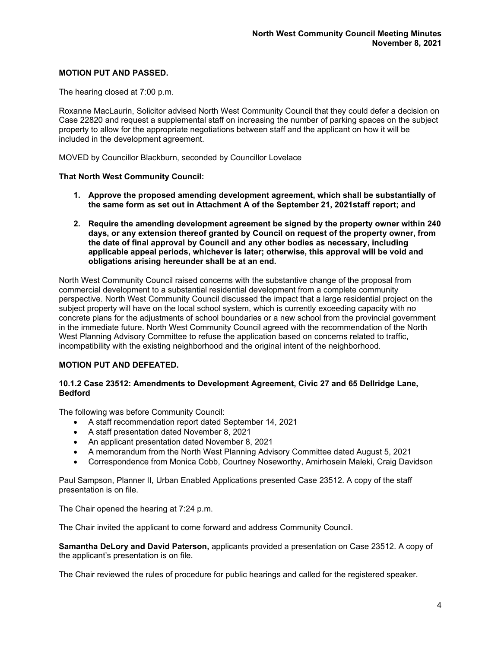## **MOTION PUT AND PASSED.**

The hearing closed at 7:00 p.m.

Roxanne MacLaurin, Solicitor advised North West Community Council that they could defer a decision on Case 22820 and request a supplemental staff on increasing the number of parking spaces on the subject property to allow for the appropriate negotiations between staff and the applicant on how it will be included in the development agreement.

MOVED by Councillor Blackburn, seconded by Councillor Lovelace

### **That North West Community Council:**

- **1. Approve the proposed amending development agreement, which shall be substantially of the same form as set out in Attachment A of the September 21, 2021staff report; and**
- **2. Require the amending development agreement be signed by the property owner within 240 days, or any extension thereof granted by Council on request of the property owner, from the date of final approval by Council and any other bodies as necessary, including applicable appeal periods, whichever is later; otherwise, this approval will be void and obligations arising hereunder shall be at an end.**

North West Community Council raised concerns with the substantive change of the proposal from commercial development to a substantial residential development from a complete community perspective. North West Community Council discussed the impact that a large residential project on the subject property will have on the local school system, which is currently exceeding capacity with no concrete plans for the adjustments of school boundaries or a new school from the provincial government in the immediate future. North West Community Council agreed with the recommendation of the North West Planning Advisory Committee to refuse the application based on concerns related to traffic, incompatibility with the existing neighborhood and the original intent of the neighborhood.

## **MOTION PUT AND DEFEATED.**

### **10.1.2 Case 23512: Amendments to Development Agreement, Civic 27 and 65 Dellridge Lane, Bedford**

The following was before Community Council:

- A staff recommendation report dated September 14, 2021
- A staff presentation dated November 8, 2021
- An applicant presentation dated November 8, 2021
- A memorandum from the North West Planning Advisory Committee dated August 5, 2021
- Correspondence from Monica Cobb, Courtney Noseworthy, Amirhosein Maleki, Craig Davidson

Paul Sampson, Planner II, Urban Enabled Applications presented Case 23512. A copy of the staff presentation is on file.

The Chair opened the hearing at 7:24 p.m.

The Chair invited the applicant to come forward and address Community Council.

**Samantha DeLory and David Paterson,** applicants provided a presentation on Case 23512. A copy of the applicant's presentation is on file.

The Chair reviewed the rules of procedure for public hearings and called for the registered speaker.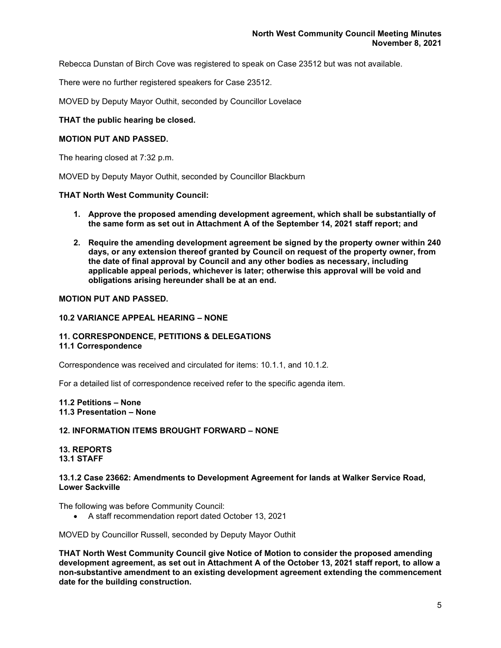Rebecca Dunstan of Birch Cove was registered to speak on Case 23512 but was not available.

There were no further registered speakers for Case 23512.

MOVED by Deputy Mayor Outhit, seconded by Councillor Lovelace

#### **THAT the public hearing be closed.**

#### **MOTION PUT AND PASSED.**

The hearing closed at 7:32 p.m.

MOVED by Deputy Mayor Outhit, seconded by Councillor Blackburn

#### **THAT North West Community Council:**

- **1. Approve the proposed amending development agreement, which shall be substantially of the same form as set out in Attachment A of the September 14, 2021 staff report; and**
- **2. Require the amending development agreement be signed by the property owner within 240 days, or any extension thereof granted by Council on request of the property owner, from the date of final approval by Council and any other bodies as necessary, including applicable appeal periods, whichever is later; otherwise this approval will be void and obligations arising hereunder shall be at an end.**

## **MOTION PUT AND PASSED.**

#### **10.2 VARIANCE APPEAL HEARING – NONE**

### **11. CORRESPONDENCE, PETITIONS & DELEGATIONS**

#### **11.1 Correspondence**

Correspondence was received and circulated for items: 10.1.1, and 10.1.2*.* 

For a detailed list of correspondence received refer to the specific agenda item.

#### **11.2 Petitions – None 11.3 Presentation – None**

## **12. INFORMATION ITEMS BROUGHT FORWARD – NONE**

### **13. REPORTS 13.1 STAFF**

#### **13.1.2 Case 23662: Amendments to Development Agreement for lands at Walker Service Road, Lower Sackville**

The following was before Community Council:

• A staff recommendation report dated October 13, 2021

MOVED by Councillor Russell, seconded by Deputy Mayor Outhit

**THAT North West Community Council give Notice of Motion to consider the proposed amending development agreement, as set out in Attachment A of the October 13, 2021 staff report, to allow a non-substantive amendment to an existing development agreement extending the commencement date for the building construction.**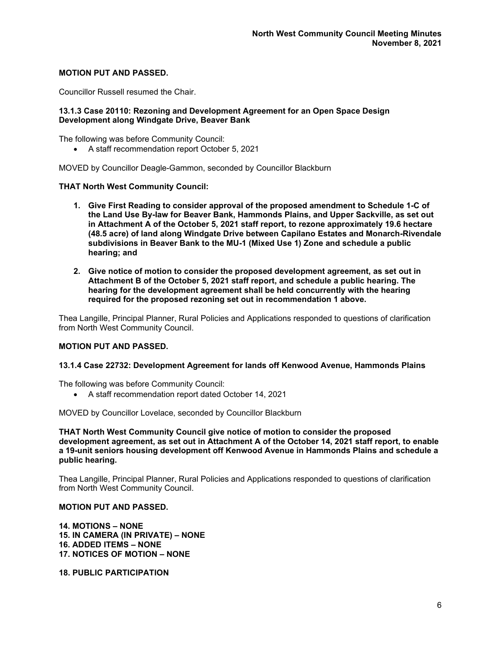## **MOTION PUT AND PASSED.**

Councillor Russell resumed the Chair.

## **13.1.3 Case 20110: Rezoning and Development Agreement for an Open Space Design Development along Windgate Drive, Beaver Bank**

The following was before Community Council:

• A staff recommendation report October 5, 2021

MOVED by Councillor Deagle-Gammon, seconded by Councillor Blackburn

### **THAT North West Community Council:**

- **1. Give First Reading to consider approval of the proposed amendment to Schedule 1-C of the Land Use By-law for Beaver Bank, Hammonds Plains, and Upper Sackville, as set out in Attachment A of the October 5, 2021 staff report, to rezone approximately 19.6 hectare (48.5 acre) of land along Windgate Drive between Capilano Estates and Monarch-Rivendale subdivisions in Beaver Bank to the MU-1 (Mixed Use 1) Zone and schedule a public hearing; and**
- **2. Give notice of motion to consider the proposed development agreement, as set out in Attachment B of the October 5, 2021 staff report, and schedule a public hearing. The hearing for the development agreement shall be held concurrently with the hearing required for the proposed rezoning set out in recommendation 1 above.**

Thea Langille, Principal Planner, Rural Policies and Applications responded to questions of clarification from North West Community Council.

## **MOTION PUT AND PASSED.**

#### **13.1.4 Case 22732: Development Agreement for lands off Kenwood Avenue, Hammonds Plains**

The following was before Community Council:

• A staff recommendation report dated October 14, 2021

MOVED by Councillor Lovelace, seconded by Councillor Blackburn

**THAT North West Community Council give notice of motion to consider the proposed development agreement, as set out in Attachment A of the October 14, 2021 staff report, to enable a 19-unit seniors housing development off Kenwood Avenue in Hammonds Plains and schedule a public hearing.**

Thea Langille, Principal Planner, Rural Policies and Applications responded to questions of clarification from North West Community Council.

#### **MOTION PUT AND PASSED.**

**14. MOTIONS – NONE 15. IN CAMERA (IN PRIVATE) – NONE 16. ADDED ITEMS – NONE 17. NOTICES OF MOTION – NONE**

**18. PUBLIC PARTICIPATION**